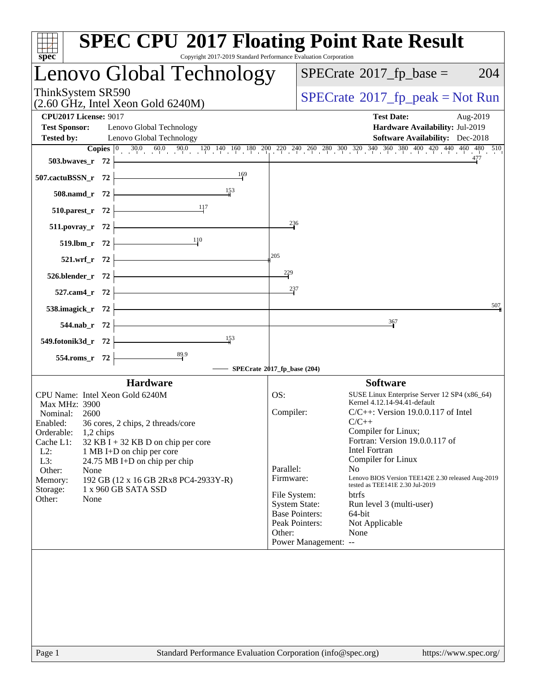| Copyright 2017-2019 Standard Performance Evaluation Corporation<br>spec <sup>®</sup>                                                               | <b>SPEC CPU®2017 Floating Point Rate Result</b>                                                                                                                                  |
|----------------------------------------------------------------------------------------------------------------------------------------------------|----------------------------------------------------------------------------------------------------------------------------------------------------------------------------------|
| Lenovo Global Technology                                                                                                                           | $SPECrate^{\circ}2017$ _fp_base =<br>204                                                                                                                                         |
| ThinkSystem SR590<br>$(2.60 \text{ GHz}, \text{Intel Xeon Gold } 6240 \text{M})$                                                                   | $SPECrate^{\circ}2017rfp peak = Not Run$                                                                                                                                         |
| <b>CPU2017 License: 9017</b><br><b>Test Sponsor:</b><br>Lenovo Global Technology<br><b>Tested by:</b><br>Lenovo Global Technology                  | <b>Test Date:</b><br>Aug-2019<br>Hardware Availability: Jul-2019<br><b>Software Availability:</b> Dec-2018                                                                       |
|                                                                                                                                                    | <b>Copies</b> $\begin{bmatrix} 0 & 30.0 & 60.0 & 90.0 & 120 & 140 & 160 & 180 & 200 & 220 & 240 & 260 & 300 & 320 & 340 & 360 & 380 & 400 & 420 & 440 & 460 & 510 \end{bmatrix}$ |
| 503.bwaves_r $72$                                                                                                                                  | 477                                                                                                                                                                              |
| $\frac{169}{1}$<br>507.cactuBSSN_r 72                                                                                                              |                                                                                                                                                                                  |
| $508$ .namd_r 72 $\vdash$                                                                                                                          |                                                                                                                                                                                  |
| $\frac{11}{7}$<br>$510.parest_r 72$                                                                                                                |                                                                                                                                                                                  |
| 511.povray_r 72                                                                                                                                    | $^{236}$                                                                                                                                                                         |
| 519.lbm_r 72 $\frac{110}{10}$                                                                                                                      |                                                                                                                                                                                  |
| 521.wrf_r $72$ $\vert$                                                                                                                             | 205                                                                                                                                                                              |
| $526.blender_r 72$                                                                                                                                 | $\frac{229}{5}$                                                                                                                                                                  |
| <u> 1989 - Johann Barn, mars et al. 1989 - Anna ann an t-Anna ann an t-Anna ann an t-Anna ann an t-Anna ann an t-</u><br>$527$ .cam4_r 72 $\vdash$ | 237                                                                                                                                                                              |
| 538.imagick_r $72$ $\overline{\phantom{1}}$                                                                                                        | 507                                                                                                                                                                              |
| $544.nab_r$ 72                                                                                                                                     | 367                                                                                                                                                                              |
| 153<br>549.fotonik3d_r $72$ +                                                                                                                      |                                                                                                                                                                                  |
| $554$ .roms_r 72                                                                                                                                   |                                                                                                                                                                                  |
|                                                                                                                                                    | $-$ SPECrate®2017_fp_base (204)                                                                                                                                                  |
| <b>Hardware</b>                                                                                                                                    | <b>Software</b>                                                                                                                                                                  |
| CPU Name: Intel Xeon Gold 6240M                                                                                                                    | OS:<br>SUSE Linux Enterprise Server 12 SP4 (x86_64)<br>Kernel 4.12.14-94.41-default                                                                                              |
| Max MHz: 3900<br>Nominal:<br>2600                                                                                                                  | Compiler:<br>$C/C++$ : Version 19.0.0.117 of Intel                                                                                                                               |
| Enabled:<br>36 cores, 2 chips, 2 threads/core                                                                                                      | $C/C++$<br>Compiler for Linux;                                                                                                                                                   |
| Orderable:<br>1,2 chips<br>Cache L1:<br>$32$ KB I + 32 KB D on chip per core                                                                       | Fortran: Version 19.0.0.117 of                                                                                                                                                   |
| $L2$ :<br>1 MB I+D on chip per core                                                                                                                | <b>Intel Fortran</b>                                                                                                                                                             |
| L3:<br>24.75 MB I+D on chip per chip<br>Other:<br>None                                                                                             | Compiler for Linux<br>Parallel:<br>N <sub>o</sub>                                                                                                                                |
| 192 GB (12 x 16 GB 2Rx8 PC4-2933Y-R)<br>Memory:                                                                                                    | Lenovo BIOS Version TEE142E 2.30 released Aug-2019<br>Firmware:                                                                                                                  |
| 1 x 960 GB SATA SSD<br>Storage:                                                                                                                    | tested as TEE141E 2.30 Jul-2019<br>File System:<br><b>btrfs</b>                                                                                                                  |
| Other:<br>None                                                                                                                                     | <b>System State:</b><br>Run level 3 (multi-user)                                                                                                                                 |
|                                                                                                                                                    | <b>Base Pointers:</b><br>64-bit                                                                                                                                                  |
|                                                                                                                                                    | Peak Pointers:<br>Not Applicable<br>Other:<br>None                                                                                                                               |
|                                                                                                                                                    | Power Management: --                                                                                                                                                             |
|                                                                                                                                                    |                                                                                                                                                                                  |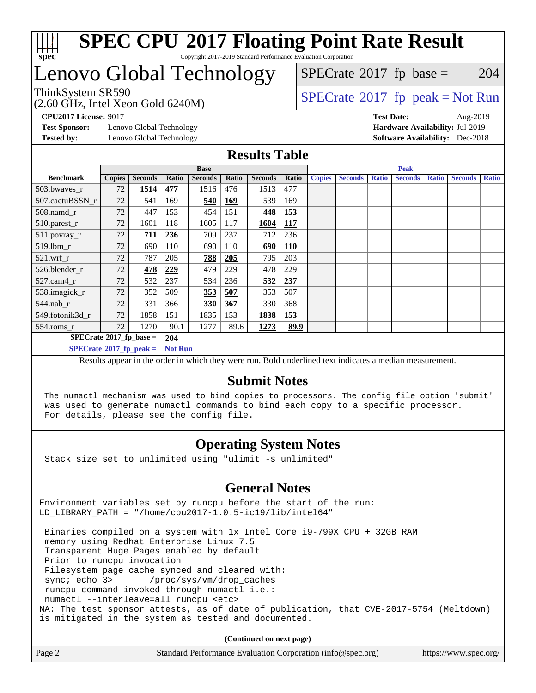

## Lenovo Global Technology

ThinkSystem SR590<br>  $\begin{array}{c}\n\text{SPECrate} \textcirc 2017\_fp\_peak = Not Run \\
\text{SPECrate} \textcirc 2017\_fp\_peak = Not Run\n\end{array}$  $\begin{array}{c}\n\text{SPECrate} \textcirc 2017\_fp\_peak = Not Run \\
\text{SPECrate} \textcirc 2017\_fp\_peak = Not Run\n\end{array}$  $\begin{array}{c}\n\text{SPECrate} \textcirc 2017\_fp\_peak = Not Run \\
\text{SPECrate} \textcirc 2017\_fp\_peak = Not Run\n\end{array}$  $SPECTate$ <sup>®</sup>[2017\\_fp\\_base =](http://www.spec.org/auto/cpu2017/Docs/result-fields.html#SPECrate2017fpbase) 204

(2.60 GHz, Intel Xeon Gold 6240M)

**[Test Sponsor:](http://www.spec.org/auto/cpu2017/Docs/result-fields.html#TestSponsor)** Lenovo Global Technology **[Hardware Availability:](http://www.spec.org/auto/cpu2017/Docs/result-fields.html#HardwareAvailability)** Jul-2019 **[Tested by:](http://www.spec.org/auto/cpu2017/Docs/result-fields.html#Testedby)** Lenovo Global Technology **[Software Availability:](http://www.spec.org/auto/cpu2017/Docs/result-fields.html#SoftwareAvailability)** Dec-2018

**[CPU2017 License:](http://www.spec.org/auto/cpu2017/Docs/result-fields.html#CPU2017License)** 9017 **[Test Date:](http://www.spec.org/auto/cpu2017/Docs/result-fields.html#TestDate)** Aug-2019

#### **[Results Table](http://www.spec.org/auto/cpu2017/Docs/result-fields.html#ResultsTable)**

| <b>Base</b>                                        |               |                |            | <b>Peak</b>    |            |                |            |               |                |              |                |              |                |              |
|----------------------------------------------------|---------------|----------------|------------|----------------|------------|----------------|------------|---------------|----------------|--------------|----------------|--------------|----------------|--------------|
| <b>Benchmark</b>                                   | <b>Copies</b> | <b>Seconds</b> | Ratio      | <b>Seconds</b> | Ratio      | <b>Seconds</b> | Ratio      | <b>Copies</b> | <b>Seconds</b> | <b>Ratio</b> | <b>Seconds</b> | <b>Ratio</b> | <b>Seconds</b> | <b>Ratio</b> |
| 503.bwaves_r                                       | 72            | 1514           | 477        | 1516           | 476        | 1513           | 477        |               |                |              |                |              |                |              |
| 507.cactuBSSN r                                    | 72            | 541            | 169        | 540            | <u>169</u> | 539            | 169        |               |                |              |                |              |                |              |
| $508$ .namd $r$                                    | 72            | 447            | 153        | 454            | 151        | 448            | 153        |               |                |              |                |              |                |              |
| 510.parest_r                                       | 72            | 1601           | 118        | 1605           | 117        | 1604           | <b>117</b> |               |                |              |                |              |                |              |
| 511.povray_r                                       | 72            | 711            | 236        | 709            | 237        | 712            | 236        |               |                |              |                |              |                |              |
| 519.lbm r                                          | 72            | 690            | 110        | 690            | 110        | 690            | <b>110</b> |               |                |              |                |              |                |              |
| $521$ .wrf r                                       | 72            | 787            | 205        | 788            | 205        | 795            | 203        |               |                |              |                |              |                |              |
| 526.blender r                                      | 72            | 478            | <u>229</u> | 479            | 229        | 478            | 229        |               |                |              |                |              |                |              |
| $527$ .cam $4r$                                    | 72            | 532            | 237        | 534            | 236        | 532            | 237        |               |                |              |                |              |                |              |
| 538.imagick_r                                      | 72            | 352            | 509        | <u>353</u>     | 507        | 353            | 507        |               |                |              |                |              |                |              |
| $544$ .nab r                                       | 72            | 331            | 366        | <b>330</b>     | 367        | 330            | 368        |               |                |              |                |              |                |              |
| 549.fotonik3d r                                    | 72            | 1858           | 151        | 1835           | 153        | 1838           | 153        |               |                |              |                |              |                |              |
| $554$ .roms_r                                      | 72            | 1270           | 90.1       | 1277           | 89.6       | 1273           | 89.9       |               |                |              |                |              |                |              |
| $SPECrate$ <sup>®</sup> 2017_fp_base =             |               |                | 204        |                |            |                |            |               |                |              |                |              |                |              |
| $SPECrate^{\circ}2017$ fp peak =<br><b>Not Run</b> |               |                |            |                |            |                |            |               |                |              |                |              |                |              |

Results appear in the [order in which they were run.](http://www.spec.org/auto/cpu2017/Docs/result-fields.html#RunOrder) Bold underlined text [indicates a median measurement.](http://www.spec.org/auto/cpu2017/Docs/result-fields.html#Median)

#### **[Submit Notes](http://www.spec.org/auto/cpu2017/Docs/result-fields.html#SubmitNotes)**

 The numactl mechanism was used to bind copies to processors. The config file option 'submit' was used to generate numactl commands to bind each copy to a specific processor. For details, please see the config file.

### **[Operating System Notes](http://www.spec.org/auto/cpu2017/Docs/result-fields.html#OperatingSystemNotes)**

Stack size set to unlimited using "ulimit -s unlimited"

### **[General Notes](http://www.spec.org/auto/cpu2017/Docs/result-fields.html#GeneralNotes)**

Environment variables set by runcpu before the start of the run: LD\_LIBRARY\_PATH = "/home/cpu2017-1.0.5-ic19/lib/intel64"

 Binaries compiled on a system with 1x Intel Core i9-799X CPU + 32GB RAM memory using Redhat Enterprise Linux 7.5 Transparent Huge Pages enabled by default Prior to runcpu invocation Filesystem page cache synced and cleared with: sync; echo 3> /proc/sys/vm/drop\_caches runcpu command invoked through numactl i.e.: numactl --interleave=all runcpu <etc> NA: The test sponsor attests, as of date of publication, that CVE-2017-5754 (Meltdown) is mitigated in the system as tested and documented.

**(Continued on next page)**

| Page 2 | Standard Performance Evaluation Corporation (info@spec.org) | https://www.spec.org/ |
|--------|-------------------------------------------------------------|-----------------------|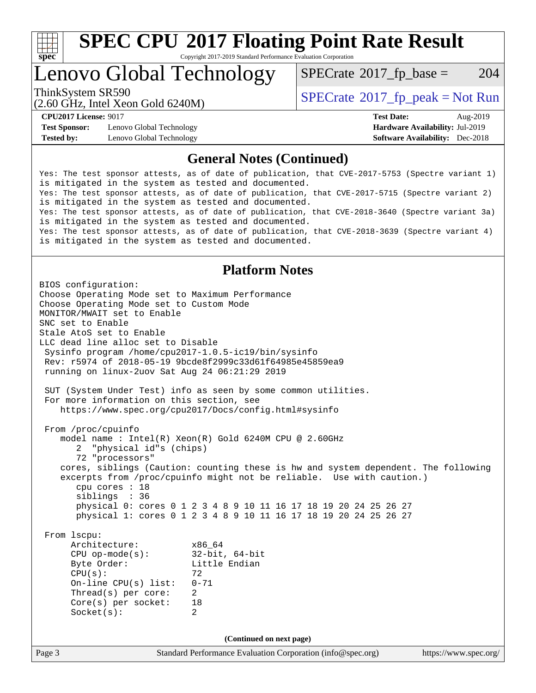

# **[SPEC CPU](http://www.spec.org/auto/cpu2017/Docs/result-fields.html#SPECCPU2017FloatingPointRateResult)[2017 Floating Point Rate Result](http://www.spec.org/auto/cpu2017/Docs/result-fields.html#SPECCPU2017FloatingPointRateResult)**

Copyright 2017-2019 Standard Performance Evaluation Corporation

### Lenovo Global Technology

 $SPECTate$ <sup>®</sup>[2017\\_fp\\_base =](http://www.spec.org/auto/cpu2017/Docs/result-fields.html#SPECrate2017fpbase) 204

(2.60 GHz, Intel Xeon Gold 6240M)

ThinkSystem SR590<br>  $SPECTI<sub>2</sub> Intel Y<sub>2</sub> (2.60 CII<sub>2</sub> Intel Y<sub>2</sub> (2.60 CII<sub>2</sub> Intel Y<sub>2</sub> (2.60 CII<sub>2</sub> Intel Y<sub>2</sub> (2.60 CII<sub>2</sub> Intel Y<sub>2</sub> (2.60 CII<sub>2</sub>$ 

**[Test Sponsor:](http://www.spec.org/auto/cpu2017/Docs/result-fields.html#TestSponsor)** Lenovo Global Technology **[Hardware Availability:](http://www.spec.org/auto/cpu2017/Docs/result-fields.html#HardwareAvailability)** Jul-2019 **[Tested by:](http://www.spec.org/auto/cpu2017/Docs/result-fields.html#Testedby)** Lenovo Global Technology **[Software Availability:](http://www.spec.org/auto/cpu2017/Docs/result-fields.html#SoftwareAvailability)** Dec-2018

**[CPU2017 License:](http://www.spec.org/auto/cpu2017/Docs/result-fields.html#CPU2017License)** 9017 **[Test Date:](http://www.spec.org/auto/cpu2017/Docs/result-fields.html#TestDate)** Aug-2019

#### **[General Notes \(Continued\)](http://www.spec.org/auto/cpu2017/Docs/result-fields.html#GeneralNotes)**

Yes: The test sponsor attests, as of date of publication, that CVE-2017-5753 (Spectre variant 1) is mitigated in the system as tested and documented. Yes: The test sponsor attests, as of date of publication, that CVE-2017-5715 (Spectre variant 2) is mitigated in the system as tested and documented. Yes: The test sponsor attests, as of date of publication, that CVE-2018-3640 (Spectre variant 3a) is mitigated in the system as tested and documented. Yes: The test sponsor attests, as of date of publication, that CVE-2018-3639 (Spectre variant 4) is mitigated in the system as tested and documented.

#### **[Platform Notes](http://www.spec.org/auto/cpu2017/Docs/result-fields.html#PlatformNotes)**

Page 3 Standard Performance Evaluation Corporation [\(info@spec.org\)](mailto:info@spec.org) <https://www.spec.org/> BIOS configuration: Choose Operating Mode set to Maximum Performance Choose Operating Mode set to Custom Mode MONITOR/MWAIT set to Enable SNC set to Enable Stale AtoS set to Enable LLC dead line alloc set to Disable Sysinfo program /home/cpu2017-1.0.5-ic19/bin/sysinfo Rev: r5974 of 2018-05-19 9bcde8f2999c33d61f64985e45859ea9 running on linux-2uov Sat Aug 24 06:21:29 2019 SUT (System Under Test) info as seen by some common utilities. For more information on this section, see <https://www.spec.org/cpu2017/Docs/config.html#sysinfo> From /proc/cpuinfo model name : Intel(R) Xeon(R) Gold 6240M CPU @ 2.60GHz 2 "physical id"s (chips) 72 "processors" cores, siblings (Caution: counting these is hw and system dependent. The following excerpts from /proc/cpuinfo might not be reliable. Use with caution.) cpu cores : 18 siblings : 36 physical 0: cores 0 1 2 3 4 8 9 10 11 16 17 18 19 20 24 25 26 27 physical 1: cores 0 1 2 3 4 8 9 10 11 16 17 18 19 20 24 25 26 27 From lscpu: Architecture: x86\_64 CPU op-mode(s): 32-bit, 64-bit<br>Byte Order: Little Endian Little Endian  $CPU(s):$  72 On-line CPU(s) list: 0-71 Thread(s) per core: 2 Core(s) per socket: 18 Socket(s): 2 **(Continued on next page)**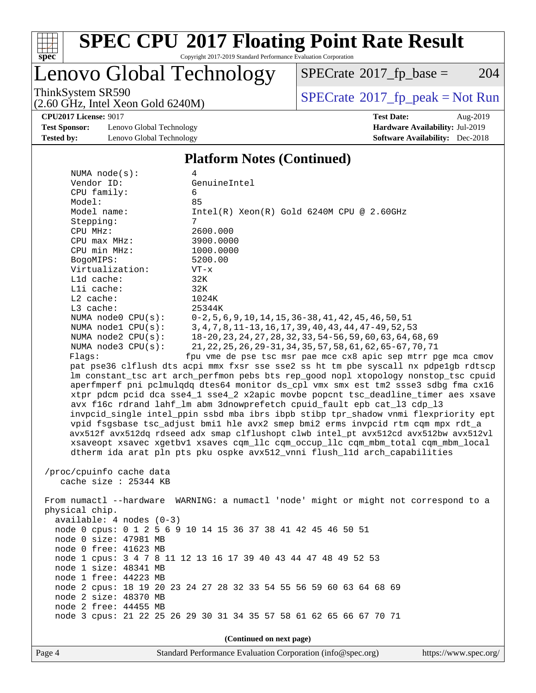

# **[SPEC CPU](http://www.spec.org/auto/cpu2017/Docs/result-fields.html#SPECCPU2017FloatingPointRateResult)[2017 Floating Point Rate Result](http://www.spec.org/auto/cpu2017/Docs/result-fields.html#SPECCPU2017FloatingPointRateResult)**

Copyright 2017-2019 Standard Performance Evaluation Corporation

### Lenovo Global Technology

 $SPECTate@2017_fp\_base = 204$ 

(2.60 GHz, Intel Xeon Gold 6240M)

ThinkSystem SR590<br>  $(2.60 \text{ GHz})$  Intel Xeon Gold 6240M)

**[CPU2017 License:](http://www.spec.org/auto/cpu2017/Docs/result-fields.html#CPU2017License)** 9017 **[Test Date:](http://www.spec.org/auto/cpu2017/Docs/result-fields.html#TestDate)** Aug-2019

**[Test Sponsor:](http://www.spec.org/auto/cpu2017/Docs/result-fields.html#TestSponsor)** Lenovo Global Technology **[Hardware Availability:](http://www.spec.org/auto/cpu2017/Docs/result-fields.html#HardwareAvailability)** Jul-2019 **[Tested by:](http://www.spec.org/auto/cpu2017/Docs/result-fields.html#Testedby)** Lenovo Global Technology **[Software Availability:](http://www.spec.org/auto/cpu2017/Docs/result-fields.html#SoftwareAvailability)** Dec-2018

#### **[Platform Notes \(Continued\)](http://www.spec.org/auto/cpu2017/Docs/result-fields.html#PlatformNotes)**

| NUMA $node(s)$ :                                  | 4                                                                                    |  |  |  |  |
|---------------------------------------------------|--------------------------------------------------------------------------------------|--|--|--|--|
| Vendor ID:                                        | GenuineIntel                                                                         |  |  |  |  |
| CPU family:                                       | 6                                                                                    |  |  |  |  |
| Model:                                            | 85                                                                                   |  |  |  |  |
| Model name:                                       | $Intel(R) Xeon(R) Gold 6240M CPU @ 2.60GHz$                                          |  |  |  |  |
| Stepping:                                         | $7\overline{ }$                                                                      |  |  |  |  |
| CPU MHz:                                          | 2600.000                                                                             |  |  |  |  |
| $CPU$ max $MHz$ :                                 | 3900.0000                                                                            |  |  |  |  |
| CPU min MHz:                                      | 1000.0000                                                                            |  |  |  |  |
| BogoMIPS:                                         | 5200.00                                                                              |  |  |  |  |
| Virtualization:                                   | $VT - x$                                                                             |  |  |  |  |
| Lld cache:                                        | 32K                                                                                  |  |  |  |  |
| Lli cache:                                        | 32K                                                                                  |  |  |  |  |
| $L2$ cache:                                       | 1024K                                                                                |  |  |  |  |
| L3 cache:                                         | 25344K                                                                               |  |  |  |  |
| NUMA node0 CPU(s):                                | $0-2, 5, 6, 9, 10, 14, 15, 36-38, 41, 42, 45, 46, 50, 51$                            |  |  |  |  |
| NUMA nodel CPU(s):                                | 3, 4, 7, 8, 11-13, 16, 17, 39, 40, 43, 44, 47-49, 52, 53                             |  |  |  |  |
| NUMA node2 CPU(s):                                | 18-20, 23, 24, 27, 28, 32, 33, 54-56, 59, 60, 63, 64, 68, 69                         |  |  |  |  |
| NUMA node3 CPU(s):                                | 21, 22, 25, 26, 29-31, 34, 35, 57, 58, 61, 62, 65-67, 70, 71                         |  |  |  |  |
| Flags:                                            | fpu vme de pse tsc msr pae mce cx8 apic sep mtrr pge mca cmov                        |  |  |  |  |
|                                                   | pat pse36 clflush dts acpi mmx fxsr sse sse2 ss ht tm pbe syscall nx pdpelgb rdtscp  |  |  |  |  |
|                                                   | lm constant_tsc art arch_perfmon pebs bts rep_good nopl xtopology nonstop_tsc cpuid  |  |  |  |  |
|                                                   | aperfmperf pni pclmulqdq dtes64 monitor ds_cpl vmx smx est tm2 ssse3 sdbg fma cx16   |  |  |  |  |
|                                                   | xtpr pdcm pcid dca sse4_1 sse4_2 x2apic movbe popcnt tsc_deadline_timer aes xsave    |  |  |  |  |
|                                                   | avx f16c rdrand lahf_lm abm 3dnowprefetch cpuid_fault epb cat_13 cdp_13              |  |  |  |  |
|                                                   | invpcid_single intel_ppin ssbd mba ibrs ibpb stibp tpr_shadow vnmi flexpriority ept  |  |  |  |  |
|                                                   | vpid fsgsbase tsc_adjust bmil hle avx2 smep bmi2 erms invpcid rtm cqm mpx rdt_a      |  |  |  |  |
|                                                   | avx512f avx512dq rdseed adx smap clflushopt clwb intel_pt avx512cd avx512bw avx512vl |  |  |  |  |
|                                                   | xsaveopt xsavec xgetbvl xsaves cqm_llc cqm_occup_llc cqm_mbm_total cqm_mbm_local     |  |  |  |  |
|                                                   | dtherm ida arat pln pts pku ospke avx512_vnni flush_lld arch_capabilities            |  |  |  |  |
|                                                   |                                                                                      |  |  |  |  |
| /proc/cpuinfo cache data<br>cache size : 25344 KB |                                                                                      |  |  |  |  |
|                                                   |                                                                                      |  |  |  |  |
|                                                   | From numactl --hardware WARNING: a numactl 'node' might or might not correspond to a |  |  |  |  |
| physical chip.                                    |                                                                                      |  |  |  |  |
| $available: 4 nodes (0-3)$                        |                                                                                      |  |  |  |  |
|                                                   | node 0 cpus: 0 1 2 5 6 9 10 14 15 36 37 38 41 42 45 46 50 51                         |  |  |  |  |
| node 0 size: 47981 MB                             |                                                                                      |  |  |  |  |
| node 0 free: 41623 MB                             |                                                                                      |  |  |  |  |
|                                                   | node 1 cpus: 3 4 7 8 11 12 13 16 17 39 40 43 44 47 48 49 52 53                       |  |  |  |  |
| node 1 size: 48341 MB                             |                                                                                      |  |  |  |  |
| node 1 free: 44223 MB                             |                                                                                      |  |  |  |  |
|                                                   | node 2 cpus: 18 19 20 23 24 27 28 32 33 54 55 56 59 60 63 64 68 69                   |  |  |  |  |
| node 2 size: 48370 MB                             |                                                                                      |  |  |  |  |
| node 2 free: 44455 MB                             |                                                                                      |  |  |  |  |
|                                                   | node 3 cpus: 21 22 25 26 29 30 31 34 35 57 58 61 62 65 66 67 70 71                   |  |  |  |  |
|                                                   |                                                                                      |  |  |  |  |
| (Continued on next page)                          |                                                                                      |  |  |  |  |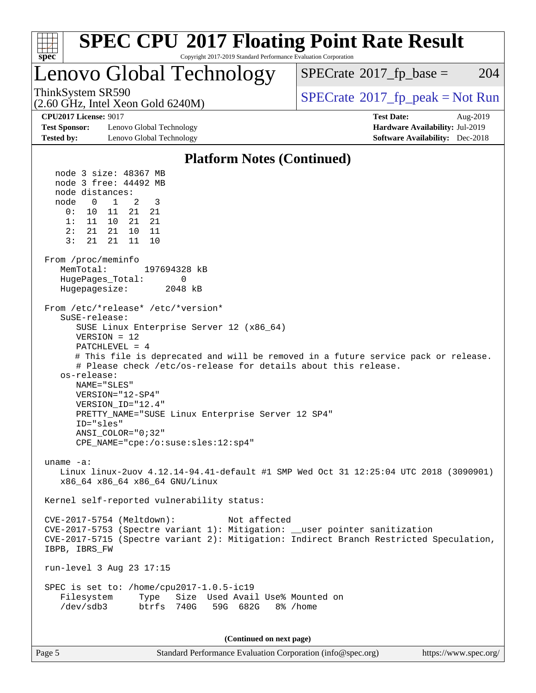

| Page 5 | Standard Performance Evaluation Corporation (info@spec.org) | https://www.spec.org/ |
|--------|-------------------------------------------------------------|-----------------------|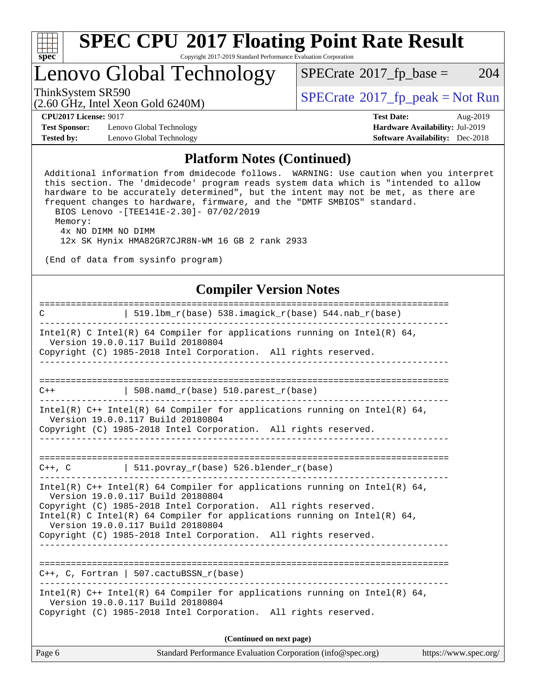

### Lenovo Global Technology

 $SPECTate@2017_fp\_base = 204$ 

(2.60 GHz, Intel Xeon Gold 6240M)

 $SPECTate@2017<sub>fr</sub> peak = Not Run$ 

**[CPU2017 License:](http://www.spec.org/auto/cpu2017/Docs/result-fields.html#CPU2017License)** 9017 **[Test Date:](http://www.spec.org/auto/cpu2017/Docs/result-fields.html#TestDate)** Aug-2019

**[Test Sponsor:](http://www.spec.org/auto/cpu2017/Docs/result-fields.html#TestSponsor)** Lenovo Global Technology **[Hardware Availability:](http://www.spec.org/auto/cpu2017/Docs/result-fields.html#HardwareAvailability)** Jul-2019 **[Tested by:](http://www.spec.org/auto/cpu2017/Docs/result-fields.html#Testedby)** Lenovo Global Technology **[Software Availability:](http://www.spec.org/auto/cpu2017/Docs/result-fields.html#SoftwareAvailability)** Dec-2018

#### **[Platform Notes \(Continued\)](http://www.spec.org/auto/cpu2017/Docs/result-fields.html#PlatformNotes)**

 Additional information from dmidecode follows. WARNING: Use caution when you interpret this section. The 'dmidecode' program reads system data which is "intended to allow hardware to be accurately determined", but the intent may not be met, as there are frequent changes to hardware, firmware, and the "DMTF SMBIOS" standard. BIOS Lenovo -[TEE141E-2.30]- 07/02/2019 Memory: 4x NO DIMM NO DIMM 12x SK Hynix HMA82GR7CJR8N-WM 16 GB 2 rank 2933 (End of data from sysinfo program)

#### **[Compiler Version Notes](http://www.spec.org/auto/cpu2017/Docs/result-fields.html#CompilerVersionNotes)**

| $\mathbb{C}$ | $519.1bm_r(base) 538.imagick_r(base) 544. nab_r(base)$                                                                                                                                                                                                                                                                                                                   |                       |
|--------------|--------------------------------------------------------------------------------------------------------------------------------------------------------------------------------------------------------------------------------------------------------------------------------------------------------------------------------------------------------------------------|-----------------------|
|              | Intel(R) C Intel(R) 64 Compiler for applications running on Intel(R) 64,<br>Version 19.0.0.117 Build 20180804<br>Copyright (C) 1985-2018 Intel Corporation. All rights reserved.                                                                                                                                                                                         |                       |
|              | ____________                                                                                                                                                                                                                                                                                                                                                             |                       |
| $C++$        | $ $ 508.namd_r(base) 510.parest_r(base)                                                                                                                                                                                                                                                                                                                                  |                       |
|              | Intel(R) $C++$ Intel(R) 64 Compiler for applications running on Intel(R) 64,<br>Version 19.0.0.117 Build 20180804                                                                                                                                                                                                                                                        |                       |
|              | Copyright (C) 1985-2018 Intel Corporation. All rights reserved.                                                                                                                                                                                                                                                                                                          |                       |
|              |                                                                                                                                                                                                                                                                                                                                                                          |                       |
|              | $C++$ , C $\qquad \qquad$ 511.povray_r(base) 526.blender_r(base)                                                                                                                                                                                                                                                                                                         |                       |
|              | Intel(R) $C++$ Intel(R) 64 Compiler for applications running on Intel(R) 64,<br>Version 19.0.0.117 Build 20180804<br>Copyright (C) 1985-2018 Intel Corporation. All rights reserved.<br>Intel(R) C Intel(R) 64 Compiler for applications running on Intel(R) 64,<br>Version 19.0.0.117 Build 20180804<br>Copyright (C) 1985-2018 Intel Corporation. All rights reserved. |                       |
|              |                                                                                                                                                                                                                                                                                                                                                                          |                       |
|              | $C++$ , C, Fortran   507.cactuBSSN_r(base)                                                                                                                                                                                                                                                                                                                               |                       |
|              | Intel(R) $C++$ Intel(R) 64 Compiler for applications running on Intel(R) 64,<br>Version 19.0.0.117 Build 20180804<br>Copyright (C) 1985-2018 Intel Corporation. All rights reserved.                                                                                                                                                                                     |                       |
|              | (Continued on next page)                                                                                                                                                                                                                                                                                                                                                 |                       |
| Page 6       | Standard Performance Evaluation Corporation (info@spec.org)                                                                                                                                                                                                                                                                                                              | https://www.spec.org/ |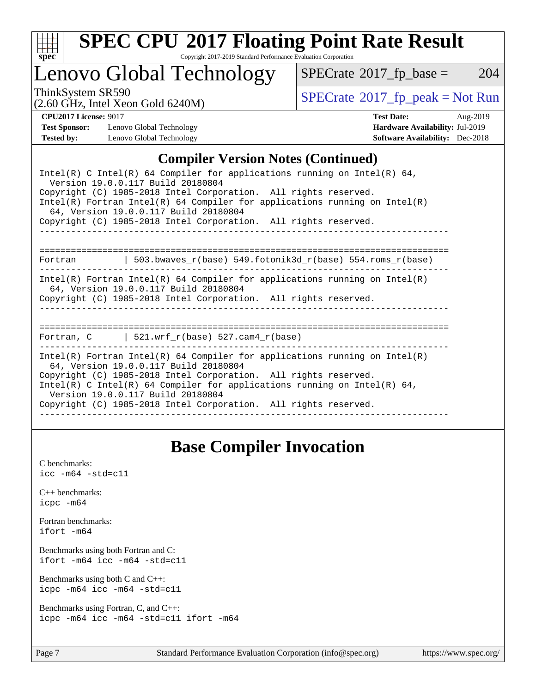

# **[SPEC CPU](http://www.spec.org/auto/cpu2017/Docs/result-fields.html#SPECCPU2017FloatingPointRateResult)[2017 Floating Point Rate Result](http://www.spec.org/auto/cpu2017/Docs/result-fields.html#SPECCPU2017FloatingPointRateResult)**

Copyright 2017-2019 Standard Performance Evaluation Corporation

### Lenovo Global Technology

 $SPECTate@2017_fp\_base = 204$ 

(2.60 GHz, Intel Xeon Gold 6240M)

ThinkSystem SR590<br>  $\begin{array}{c}\n\text{SPECrate} \textcirc 2017\_fp\_peak = Not Run \\
\text{SPECrate} \textcirc 2017\_fp\_peak = Not Run\n\end{array}$  $\begin{array}{c}\n\text{SPECrate} \textcirc 2017\_fp\_peak = Not Run \\
\text{SPECrate} \textcirc 2017\_fp\_peak = Not Run\n\end{array}$  $\begin{array}{c}\n\text{SPECrate} \textcirc 2017\_fp\_peak = Not Run \\
\text{SPECrate} \textcirc 2017\_fp\_peak = Not Run\n\end{array}$ 

**[Test Sponsor:](http://www.spec.org/auto/cpu2017/Docs/result-fields.html#TestSponsor)** Lenovo Global Technology **[Hardware Availability:](http://www.spec.org/auto/cpu2017/Docs/result-fields.html#HardwareAvailability)** Jul-2019 **[Tested by:](http://www.spec.org/auto/cpu2017/Docs/result-fields.html#Testedby)** Lenovo Global Technology **[Software Availability:](http://www.spec.org/auto/cpu2017/Docs/result-fields.html#SoftwareAvailability)** Dec-2018

**[CPU2017 License:](http://www.spec.org/auto/cpu2017/Docs/result-fields.html#CPU2017License)** 9017 **[Test Date:](http://www.spec.org/auto/cpu2017/Docs/result-fields.html#TestDate)** Aug-2019

#### **[Compiler Version Notes \(Continued\)](http://www.spec.org/auto/cpu2017/Docs/result-fields.html#CompilerVersionNotes)**

| Intel(R) C Intel(R) 64 Compiler for applications running on Intel(R) 64,<br>Version 19.0.0.117 Build 20180804<br>Copyright (C) 1985-2018 Intel Corporation. All rights reserved.<br>Intel(R) Fortran Intel(R) 64 Compiler for applications running on Intel(R)<br>64, Version 19.0.0.117 Build 20180804<br>Copyright (C) 1985-2018 Intel Corporation. All rights reserved. |  |
|----------------------------------------------------------------------------------------------------------------------------------------------------------------------------------------------------------------------------------------------------------------------------------------------------------------------------------------------------------------------------|--|
| Fortran $\vert$ 503.bwaves r(base) 549.fotonik3d r(base) 554.roms r(base)                                                                                                                                                                                                                                                                                                  |  |
| Intel(R) Fortran Intel(R) 64 Compiler for applications running on Intel(R)<br>64, Version 19.0.0.117 Build 20180804<br>Copyright (C) 1985-2018 Intel Corporation. All rights reserved.<br>--------------------------------                                                                                                                                                 |  |
| Fortran, C $\vert$ 521.wrf r(base) 527.cam4 r(base)                                                                                                                                                                                                                                                                                                                        |  |
| Intel(R) Fortran Intel(R) 64 Compiler for applications running on Intel(R)<br>64, Version 19.0.0.117 Build 20180804<br>Copyright (C) 1985-2018 Intel Corporation. All rights reserved.<br>Intel(R) C Intel(R) 64 Compiler for applications running on Intel(R) 64,<br>Version 19.0.0.117 Build 20180804<br>Copyright (C) 1985-2018 Intel Corporation. All rights reserved. |  |

### **[Base Compiler Invocation](http://www.spec.org/auto/cpu2017/Docs/result-fields.html#BaseCompilerInvocation)**

[C benchmarks](http://www.spec.org/auto/cpu2017/Docs/result-fields.html#Cbenchmarks):  $\text{icc}$  -m64 -std=c11 [C++ benchmarks:](http://www.spec.org/auto/cpu2017/Docs/result-fields.html#CXXbenchmarks) [icpc -m64](http://www.spec.org/cpu2017/results/res2019q3/cpu2017-20190902-17454.flags.html#user_CXXbase_intel_icpc_64bit_4ecb2543ae3f1412ef961e0650ca070fec7b7afdcd6ed48761b84423119d1bf6bdf5cad15b44d48e7256388bc77273b966e5eb805aefd121eb22e9299b2ec9d9) [Fortran benchmarks](http://www.spec.org/auto/cpu2017/Docs/result-fields.html#Fortranbenchmarks): [ifort -m64](http://www.spec.org/cpu2017/results/res2019q3/cpu2017-20190902-17454.flags.html#user_FCbase_intel_ifort_64bit_24f2bb282fbaeffd6157abe4f878425411749daecae9a33200eee2bee2fe76f3b89351d69a8130dd5949958ce389cf37ff59a95e7a40d588e8d3a57e0c3fd751) [Benchmarks using both Fortran and C](http://www.spec.org/auto/cpu2017/Docs/result-fields.html#BenchmarksusingbothFortranandC): [ifort -m64](http://www.spec.org/cpu2017/results/res2019q3/cpu2017-20190902-17454.flags.html#user_CC_FCbase_intel_ifort_64bit_24f2bb282fbaeffd6157abe4f878425411749daecae9a33200eee2bee2fe76f3b89351d69a8130dd5949958ce389cf37ff59a95e7a40d588e8d3a57e0c3fd751) [icc -m64 -std=c11](http://www.spec.org/cpu2017/results/res2019q3/cpu2017-20190902-17454.flags.html#user_CC_FCbase_intel_icc_64bit_c11_33ee0cdaae7deeeab2a9725423ba97205ce30f63b9926c2519791662299b76a0318f32ddfffdc46587804de3178b4f9328c46fa7c2b0cd779d7a61945c91cd35) [Benchmarks using both C and C++](http://www.spec.org/auto/cpu2017/Docs/result-fields.html#BenchmarksusingbothCandCXX): [icpc -m64](http://www.spec.org/cpu2017/results/res2019q3/cpu2017-20190902-17454.flags.html#user_CC_CXXbase_intel_icpc_64bit_4ecb2543ae3f1412ef961e0650ca070fec7b7afdcd6ed48761b84423119d1bf6bdf5cad15b44d48e7256388bc77273b966e5eb805aefd121eb22e9299b2ec9d9) [icc -m64 -std=c11](http://www.spec.org/cpu2017/results/res2019q3/cpu2017-20190902-17454.flags.html#user_CC_CXXbase_intel_icc_64bit_c11_33ee0cdaae7deeeab2a9725423ba97205ce30f63b9926c2519791662299b76a0318f32ddfffdc46587804de3178b4f9328c46fa7c2b0cd779d7a61945c91cd35) [Benchmarks using Fortran, C, and C++:](http://www.spec.org/auto/cpu2017/Docs/result-fields.html#BenchmarksusingFortranCandCXX) [icpc -m64](http://www.spec.org/cpu2017/results/res2019q3/cpu2017-20190902-17454.flags.html#user_CC_CXX_FCbase_intel_icpc_64bit_4ecb2543ae3f1412ef961e0650ca070fec7b7afdcd6ed48761b84423119d1bf6bdf5cad15b44d48e7256388bc77273b966e5eb805aefd121eb22e9299b2ec9d9) [icc -m64 -std=c11](http://www.spec.org/cpu2017/results/res2019q3/cpu2017-20190902-17454.flags.html#user_CC_CXX_FCbase_intel_icc_64bit_c11_33ee0cdaae7deeeab2a9725423ba97205ce30f63b9926c2519791662299b76a0318f32ddfffdc46587804de3178b4f9328c46fa7c2b0cd779d7a61945c91cd35) [ifort -m64](http://www.spec.org/cpu2017/results/res2019q3/cpu2017-20190902-17454.flags.html#user_CC_CXX_FCbase_intel_ifort_64bit_24f2bb282fbaeffd6157abe4f878425411749daecae9a33200eee2bee2fe76f3b89351d69a8130dd5949958ce389cf37ff59a95e7a40d588e8d3a57e0c3fd751)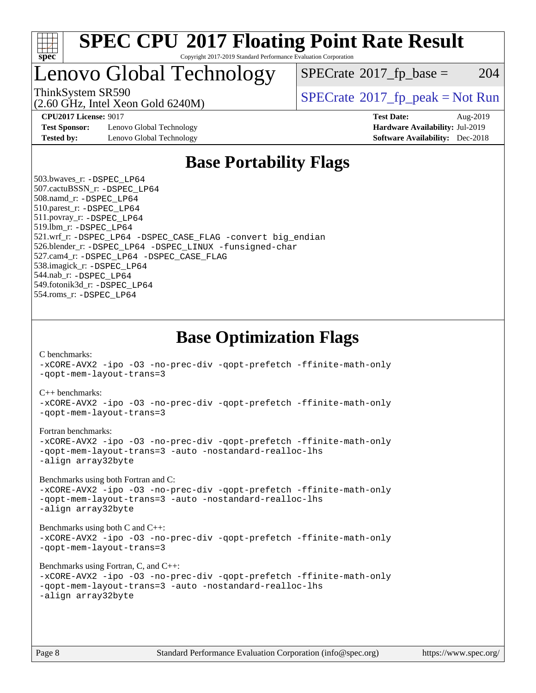

### Lenovo Global Technology

 $SPECTate$ <sup>®</sup>[2017\\_fp\\_base =](http://www.spec.org/auto/cpu2017/Docs/result-fields.html#SPECrate2017fpbase) 204

(2.60 GHz, Intel Xeon Gold 6240M)

ThinkSystem SR590<br>  $SPECTI<sub>2</sub>$  [SPECrate](http://www.spec.org/auto/cpu2017/Docs/result-fields.html#SPECrate2017fppeak)®[2017\\_fp\\_peak = N](http://www.spec.org/auto/cpu2017/Docs/result-fields.html#SPECrate2017fppeak)ot Run

**[Test Sponsor:](http://www.spec.org/auto/cpu2017/Docs/result-fields.html#TestSponsor)** Lenovo Global Technology **[Hardware Availability:](http://www.spec.org/auto/cpu2017/Docs/result-fields.html#HardwareAvailability)** Jul-2019 **[Tested by:](http://www.spec.org/auto/cpu2017/Docs/result-fields.html#Testedby)** Lenovo Global Technology **[Software Availability:](http://www.spec.org/auto/cpu2017/Docs/result-fields.html#SoftwareAvailability)** Dec-2018

**[CPU2017 License:](http://www.spec.org/auto/cpu2017/Docs/result-fields.html#CPU2017License)** 9017 **[Test Date:](http://www.spec.org/auto/cpu2017/Docs/result-fields.html#TestDate)** Aug-2019

### **[Base Portability Flags](http://www.spec.org/auto/cpu2017/Docs/result-fields.html#BasePortabilityFlags)**

 503.bwaves\_r: [-DSPEC\\_LP64](http://www.spec.org/cpu2017/results/res2019q3/cpu2017-20190902-17454.flags.html#suite_basePORTABILITY503_bwaves_r_DSPEC_LP64) 507.cactuBSSN\_r: [-DSPEC\\_LP64](http://www.spec.org/cpu2017/results/res2019q3/cpu2017-20190902-17454.flags.html#suite_basePORTABILITY507_cactuBSSN_r_DSPEC_LP64) 508.namd\_r: [-DSPEC\\_LP64](http://www.spec.org/cpu2017/results/res2019q3/cpu2017-20190902-17454.flags.html#suite_basePORTABILITY508_namd_r_DSPEC_LP64) 510.parest\_r: [-DSPEC\\_LP64](http://www.spec.org/cpu2017/results/res2019q3/cpu2017-20190902-17454.flags.html#suite_basePORTABILITY510_parest_r_DSPEC_LP64) 511.povray\_r: [-DSPEC\\_LP64](http://www.spec.org/cpu2017/results/res2019q3/cpu2017-20190902-17454.flags.html#suite_basePORTABILITY511_povray_r_DSPEC_LP64) 519.lbm\_r: [-DSPEC\\_LP64](http://www.spec.org/cpu2017/results/res2019q3/cpu2017-20190902-17454.flags.html#suite_basePORTABILITY519_lbm_r_DSPEC_LP64) 521.wrf\_r: [-DSPEC\\_LP64](http://www.spec.org/cpu2017/results/res2019q3/cpu2017-20190902-17454.flags.html#suite_basePORTABILITY521_wrf_r_DSPEC_LP64) [-DSPEC\\_CASE\\_FLAG](http://www.spec.org/cpu2017/results/res2019q3/cpu2017-20190902-17454.flags.html#b521.wrf_r_baseCPORTABILITY_DSPEC_CASE_FLAG) [-convert big\\_endian](http://www.spec.org/cpu2017/results/res2019q3/cpu2017-20190902-17454.flags.html#user_baseFPORTABILITY521_wrf_r_convert_big_endian_c3194028bc08c63ac5d04de18c48ce6d347e4e562e8892b8bdbdc0214820426deb8554edfa529a3fb25a586e65a3d812c835984020483e7e73212c4d31a38223) 526.blender\_r: [-DSPEC\\_LP64](http://www.spec.org/cpu2017/results/res2019q3/cpu2017-20190902-17454.flags.html#suite_basePORTABILITY526_blender_r_DSPEC_LP64) [-DSPEC\\_LINUX](http://www.spec.org/cpu2017/results/res2019q3/cpu2017-20190902-17454.flags.html#b526.blender_r_baseCPORTABILITY_DSPEC_LINUX) [-funsigned-char](http://www.spec.org/cpu2017/results/res2019q3/cpu2017-20190902-17454.flags.html#user_baseCPORTABILITY526_blender_r_force_uchar_40c60f00ab013830e2dd6774aeded3ff59883ba5a1fc5fc14077f794d777847726e2a5858cbc7672e36e1b067e7e5c1d9a74f7176df07886a243d7cc18edfe67) 527.cam4\_r: [-DSPEC\\_LP64](http://www.spec.org/cpu2017/results/res2019q3/cpu2017-20190902-17454.flags.html#suite_basePORTABILITY527_cam4_r_DSPEC_LP64) [-DSPEC\\_CASE\\_FLAG](http://www.spec.org/cpu2017/results/res2019q3/cpu2017-20190902-17454.flags.html#b527.cam4_r_baseCPORTABILITY_DSPEC_CASE_FLAG) 538.imagick\_r: [-DSPEC\\_LP64](http://www.spec.org/cpu2017/results/res2019q3/cpu2017-20190902-17454.flags.html#suite_basePORTABILITY538_imagick_r_DSPEC_LP64) 544.nab\_r: [-DSPEC\\_LP64](http://www.spec.org/cpu2017/results/res2019q3/cpu2017-20190902-17454.flags.html#suite_basePORTABILITY544_nab_r_DSPEC_LP64) 549.fotonik3d\_r: [-DSPEC\\_LP64](http://www.spec.org/cpu2017/results/res2019q3/cpu2017-20190902-17454.flags.html#suite_basePORTABILITY549_fotonik3d_r_DSPEC_LP64) 554.roms\_r: [-DSPEC\\_LP64](http://www.spec.org/cpu2017/results/res2019q3/cpu2017-20190902-17454.flags.html#suite_basePORTABILITY554_roms_r_DSPEC_LP64)

**[Base Optimization Flags](http://www.spec.org/auto/cpu2017/Docs/result-fields.html#BaseOptimizationFlags)**

[C benchmarks](http://www.spec.org/auto/cpu2017/Docs/result-fields.html#Cbenchmarks):

[-xCORE-AVX2](http://www.spec.org/cpu2017/results/res2019q3/cpu2017-20190902-17454.flags.html#user_CCbase_f-xCORE-AVX2) [-ipo](http://www.spec.org/cpu2017/results/res2019q3/cpu2017-20190902-17454.flags.html#user_CCbase_f-ipo) [-O3](http://www.spec.org/cpu2017/results/res2019q3/cpu2017-20190902-17454.flags.html#user_CCbase_f-O3) [-no-prec-div](http://www.spec.org/cpu2017/results/res2019q3/cpu2017-20190902-17454.flags.html#user_CCbase_f-no-prec-div) [-qopt-prefetch](http://www.spec.org/cpu2017/results/res2019q3/cpu2017-20190902-17454.flags.html#user_CCbase_f-qopt-prefetch) [-ffinite-math-only](http://www.spec.org/cpu2017/results/res2019q3/cpu2017-20190902-17454.flags.html#user_CCbase_f_finite_math_only_cb91587bd2077682c4b38af759c288ed7c732db004271a9512da14a4f8007909a5f1427ecbf1a0fb78ff2a814402c6114ac565ca162485bbcae155b5e4258871) [-qopt-mem-layout-trans=3](http://www.spec.org/cpu2017/results/res2019q3/cpu2017-20190902-17454.flags.html#user_CCbase_f-qopt-mem-layout-trans_de80db37974c74b1f0e20d883f0b675c88c3b01e9d123adea9b28688d64333345fb62bc4a798493513fdb68f60282f9a726aa07f478b2f7113531aecce732043) [C++ benchmarks:](http://www.spec.org/auto/cpu2017/Docs/result-fields.html#CXXbenchmarks) [-xCORE-AVX2](http://www.spec.org/cpu2017/results/res2019q3/cpu2017-20190902-17454.flags.html#user_CXXbase_f-xCORE-AVX2) [-ipo](http://www.spec.org/cpu2017/results/res2019q3/cpu2017-20190902-17454.flags.html#user_CXXbase_f-ipo) [-O3](http://www.spec.org/cpu2017/results/res2019q3/cpu2017-20190902-17454.flags.html#user_CXXbase_f-O3) [-no-prec-div](http://www.spec.org/cpu2017/results/res2019q3/cpu2017-20190902-17454.flags.html#user_CXXbase_f-no-prec-div) [-qopt-prefetch](http://www.spec.org/cpu2017/results/res2019q3/cpu2017-20190902-17454.flags.html#user_CXXbase_f-qopt-prefetch) [-ffinite-math-only](http://www.spec.org/cpu2017/results/res2019q3/cpu2017-20190902-17454.flags.html#user_CXXbase_f_finite_math_only_cb91587bd2077682c4b38af759c288ed7c732db004271a9512da14a4f8007909a5f1427ecbf1a0fb78ff2a814402c6114ac565ca162485bbcae155b5e4258871) [-qopt-mem-layout-trans=3](http://www.spec.org/cpu2017/results/res2019q3/cpu2017-20190902-17454.flags.html#user_CXXbase_f-qopt-mem-layout-trans_de80db37974c74b1f0e20d883f0b675c88c3b01e9d123adea9b28688d64333345fb62bc4a798493513fdb68f60282f9a726aa07f478b2f7113531aecce732043) [Fortran benchmarks](http://www.spec.org/auto/cpu2017/Docs/result-fields.html#Fortranbenchmarks): [-xCORE-AVX2](http://www.spec.org/cpu2017/results/res2019q3/cpu2017-20190902-17454.flags.html#user_FCbase_f-xCORE-AVX2) [-ipo](http://www.spec.org/cpu2017/results/res2019q3/cpu2017-20190902-17454.flags.html#user_FCbase_f-ipo) [-O3](http://www.spec.org/cpu2017/results/res2019q3/cpu2017-20190902-17454.flags.html#user_FCbase_f-O3) [-no-prec-div](http://www.spec.org/cpu2017/results/res2019q3/cpu2017-20190902-17454.flags.html#user_FCbase_f-no-prec-div) [-qopt-prefetch](http://www.spec.org/cpu2017/results/res2019q3/cpu2017-20190902-17454.flags.html#user_FCbase_f-qopt-prefetch) [-ffinite-math-only](http://www.spec.org/cpu2017/results/res2019q3/cpu2017-20190902-17454.flags.html#user_FCbase_f_finite_math_only_cb91587bd2077682c4b38af759c288ed7c732db004271a9512da14a4f8007909a5f1427ecbf1a0fb78ff2a814402c6114ac565ca162485bbcae155b5e4258871) [-qopt-mem-layout-trans=3](http://www.spec.org/cpu2017/results/res2019q3/cpu2017-20190902-17454.flags.html#user_FCbase_f-qopt-mem-layout-trans_de80db37974c74b1f0e20d883f0b675c88c3b01e9d123adea9b28688d64333345fb62bc4a798493513fdb68f60282f9a726aa07f478b2f7113531aecce732043) [-auto](http://www.spec.org/cpu2017/results/res2019q3/cpu2017-20190902-17454.flags.html#user_FCbase_f-auto) [-nostandard-realloc-lhs](http://www.spec.org/cpu2017/results/res2019q3/cpu2017-20190902-17454.flags.html#user_FCbase_f_2003_std_realloc_82b4557e90729c0f113870c07e44d33d6f5a304b4f63d4c15d2d0f1fab99f5daaed73bdb9275d9ae411527f28b936061aa8b9c8f2d63842963b95c9dd6426b8a) [-align array32byte](http://www.spec.org/cpu2017/results/res2019q3/cpu2017-20190902-17454.flags.html#user_FCbase_align_array32byte_b982fe038af199962ba9a80c053b8342c548c85b40b8e86eb3cc33dee0d7986a4af373ac2d51c3f7cf710a18d62fdce2948f201cd044323541f22fc0fffc51b6) [Benchmarks using both Fortran and C](http://www.spec.org/auto/cpu2017/Docs/result-fields.html#BenchmarksusingbothFortranandC): [-xCORE-AVX2](http://www.spec.org/cpu2017/results/res2019q3/cpu2017-20190902-17454.flags.html#user_CC_FCbase_f-xCORE-AVX2) [-ipo](http://www.spec.org/cpu2017/results/res2019q3/cpu2017-20190902-17454.flags.html#user_CC_FCbase_f-ipo) [-O3](http://www.spec.org/cpu2017/results/res2019q3/cpu2017-20190902-17454.flags.html#user_CC_FCbase_f-O3) [-no-prec-div](http://www.spec.org/cpu2017/results/res2019q3/cpu2017-20190902-17454.flags.html#user_CC_FCbase_f-no-prec-div) [-qopt-prefetch](http://www.spec.org/cpu2017/results/res2019q3/cpu2017-20190902-17454.flags.html#user_CC_FCbase_f-qopt-prefetch) [-ffinite-math-only](http://www.spec.org/cpu2017/results/res2019q3/cpu2017-20190902-17454.flags.html#user_CC_FCbase_f_finite_math_only_cb91587bd2077682c4b38af759c288ed7c732db004271a9512da14a4f8007909a5f1427ecbf1a0fb78ff2a814402c6114ac565ca162485bbcae155b5e4258871) [-qopt-mem-layout-trans=3](http://www.spec.org/cpu2017/results/res2019q3/cpu2017-20190902-17454.flags.html#user_CC_FCbase_f-qopt-mem-layout-trans_de80db37974c74b1f0e20d883f0b675c88c3b01e9d123adea9b28688d64333345fb62bc4a798493513fdb68f60282f9a726aa07f478b2f7113531aecce732043) [-auto](http://www.spec.org/cpu2017/results/res2019q3/cpu2017-20190902-17454.flags.html#user_CC_FCbase_f-auto) [-nostandard-realloc-lhs](http://www.spec.org/cpu2017/results/res2019q3/cpu2017-20190902-17454.flags.html#user_CC_FCbase_f_2003_std_realloc_82b4557e90729c0f113870c07e44d33d6f5a304b4f63d4c15d2d0f1fab99f5daaed73bdb9275d9ae411527f28b936061aa8b9c8f2d63842963b95c9dd6426b8a) [-align array32byte](http://www.spec.org/cpu2017/results/res2019q3/cpu2017-20190902-17454.flags.html#user_CC_FCbase_align_array32byte_b982fe038af199962ba9a80c053b8342c548c85b40b8e86eb3cc33dee0d7986a4af373ac2d51c3f7cf710a18d62fdce2948f201cd044323541f22fc0fffc51b6) [Benchmarks using both C and C++](http://www.spec.org/auto/cpu2017/Docs/result-fields.html#BenchmarksusingbothCandCXX): [-xCORE-AVX2](http://www.spec.org/cpu2017/results/res2019q3/cpu2017-20190902-17454.flags.html#user_CC_CXXbase_f-xCORE-AVX2) [-ipo](http://www.spec.org/cpu2017/results/res2019q3/cpu2017-20190902-17454.flags.html#user_CC_CXXbase_f-ipo) [-O3](http://www.spec.org/cpu2017/results/res2019q3/cpu2017-20190902-17454.flags.html#user_CC_CXXbase_f-O3) [-no-prec-div](http://www.spec.org/cpu2017/results/res2019q3/cpu2017-20190902-17454.flags.html#user_CC_CXXbase_f-no-prec-div) [-qopt-prefetch](http://www.spec.org/cpu2017/results/res2019q3/cpu2017-20190902-17454.flags.html#user_CC_CXXbase_f-qopt-prefetch) [-ffinite-math-only](http://www.spec.org/cpu2017/results/res2019q3/cpu2017-20190902-17454.flags.html#user_CC_CXXbase_f_finite_math_only_cb91587bd2077682c4b38af759c288ed7c732db004271a9512da14a4f8007909a5f1427ecbf1a0fb78ff2a814402c6114ac565ca162485bbcae155b5e4258871) [-qopt-mem-layout-trans=3](http://www.spec.org/cpu2017/results/res2019q3/cpu2017-20190902-17454.flags.html#user_CC_CXXbase_f-qopt-mem-layout-trans_de80db37974c74b1f0e20d883f0b675c88c3b01e9d123adea9b28688d64333345fb62bc4a798493513fdb68f60282f9a726aa07f478b2f7113531aecce732043) [Benchmarks using Fortran, C, and C++:](http://www.spec.org/auto/cpu2017/Docs/result-fields.html#BenchmarksusingFortranCandCXX) [-xCORE-AVX2](http://www.spec.org/cpu2017/results/res2019q3/cpu2017-20190902-17454.flags.html#user_CC_CXX_FCbase_f-xCORE-AVX2) [-ipo](http://www.spec.org/cpu2017/results/res2019q3/cpu2017-20190902-17454.flags.html#user_CC_CXX_FCbase_f-ipo) [-O3](http://www.spec.org/cpu2017/results/res2019q3/cpu2017-20190902-17454.flags.html#user_CC_CXX_FCbase_f-O3) [-no-prec-div](http://www.spec.org/cpu2017/results/res2019q3/cpu2017-20190902-17454.flags.html#user_CC_CXX_FCbase_f-no-prec-div) [-qopt-prefetch](http://www.spec.org/cpu2017/results/res2019q3/cpu2017-20190902-17454.flags.html#user_CC_CXX_FCbase_f-qopt-prefetch) [-ffinite-math-only](http://www.spec.org/cpu2017/results/res2019q3/cpu2017-20190902-17454.flags.html#user_CC_CXX_FCbase_f_finite_math_only_cb91587bd2077682c4b38af759c288ed7c732db004271a9512da14a4f8007909a5f1427ecbf1a0fb78ff2a814402c6114ac565ca162485bbcae155b5e4258871) [-qopt-mem-layout-trans=3](http://www.spec.org/cpu2017/results/res2019q3/cpu2017-20190902-17454.flags.html#user_CC_CXX_FCbase_f-qopt-mem-layout-trans_de80db37974c74b1f0e20d883f0b675c88c3b01e9d123adea9b28688d64333345fb62bc4a798493513fdb68f60282f9a726aa07f478b2f7113531aecce732043) [-auto](http://www.spec.org/cpu2017/results/res2019q3/cpu2017-20190902-17454.flags.html#user_CC_CXX_FCbase_f-auto) [-nostandard-realloc-lhs](http://www.spec.org/cpu2017/results/res2019q3/cpu2017-20190902-17454.flags.html#user_CC_CXX_FCbase_f_2003_std_realloc_82b4557e90729c0f113870c07e44d33d6f5a304b4f63d4c15d2d0f1fab99f5daaed73bdb9275d9ae411527f28b936061aa8b9c8f2d63842963b95c9dd6426b8a) [-align array32byte](http://www.spec.org/cpu2017/results/res2019q3/cpu2017-20190902-17454.flags.html#user_CC_CXX_FCbase_align_array32byte_b982fe038af199962ba9a80c053b8342c548c85b40b8e86eb3cc33dee0d7986a4af373ac2d51c3f7cf710a18d62fdce2948f201cd044323541f22fc0fffc51b6)